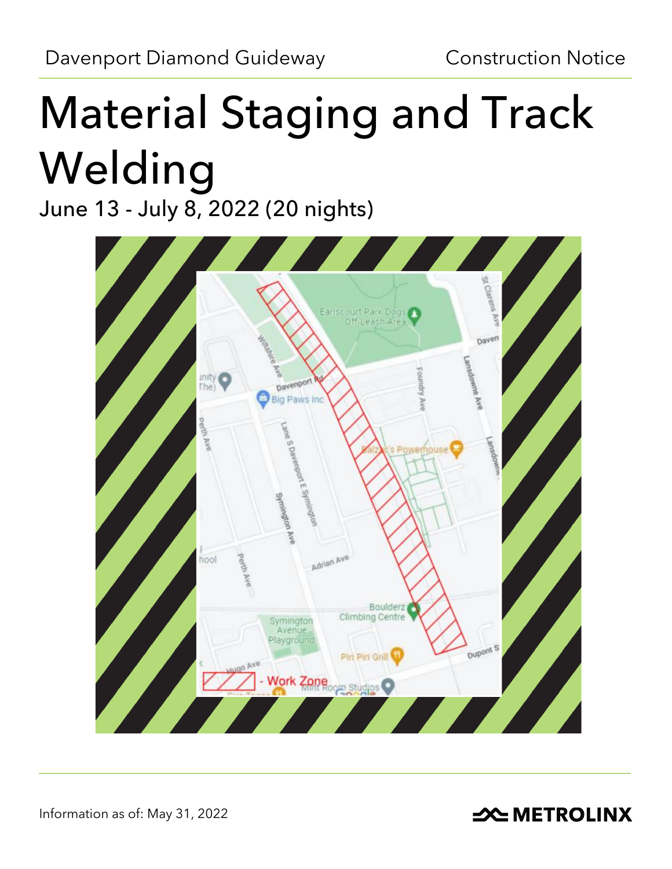# Material Staging and Track Welding

June 13 - July 8, 2022 (20 nights)